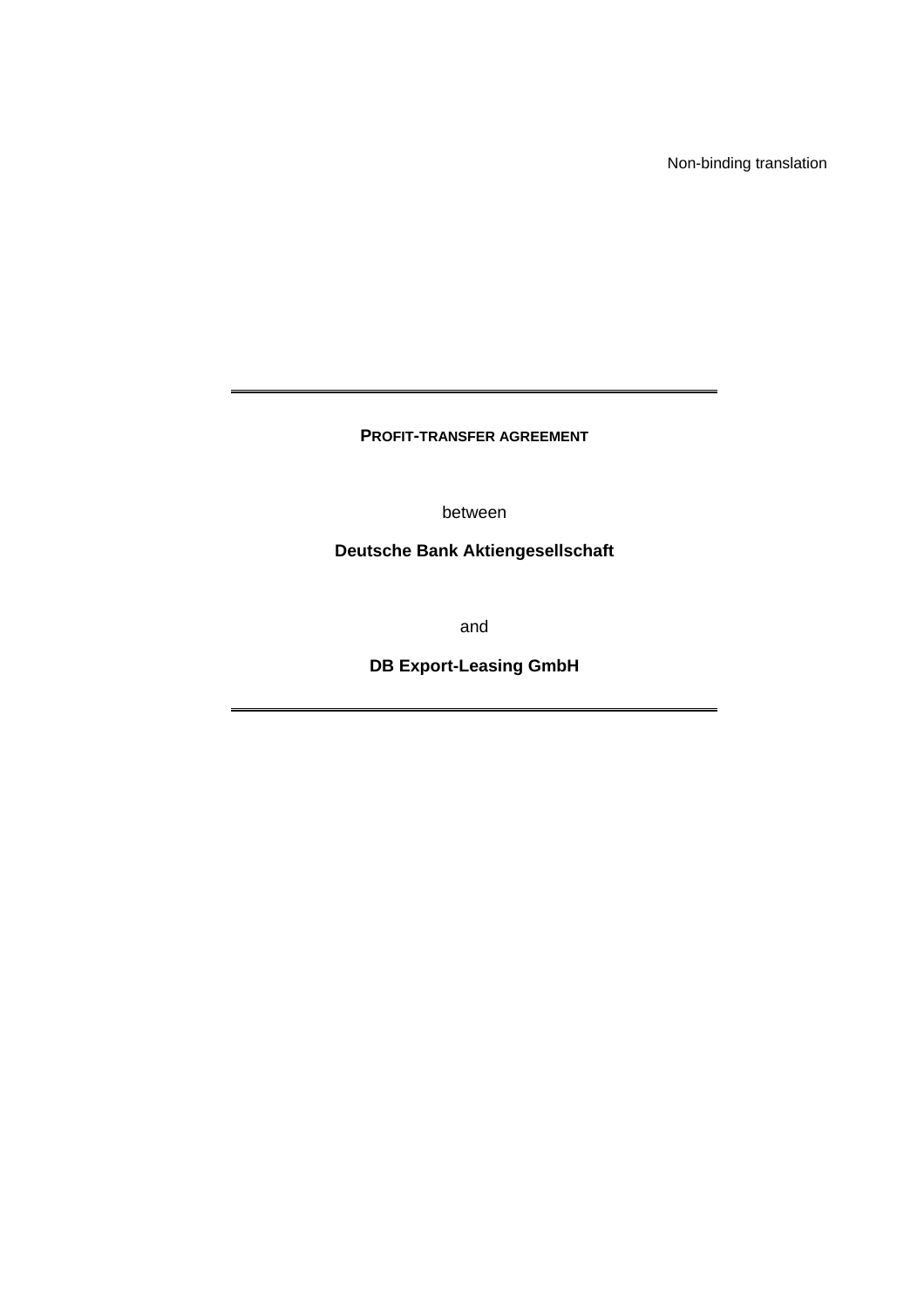Non-binding translation

**PROFIT-TRANSFER AGREEMENT** 

between

**Deutsche Bank Aktiengesellschaft** 

and

**DB Export-Leasing GmbH**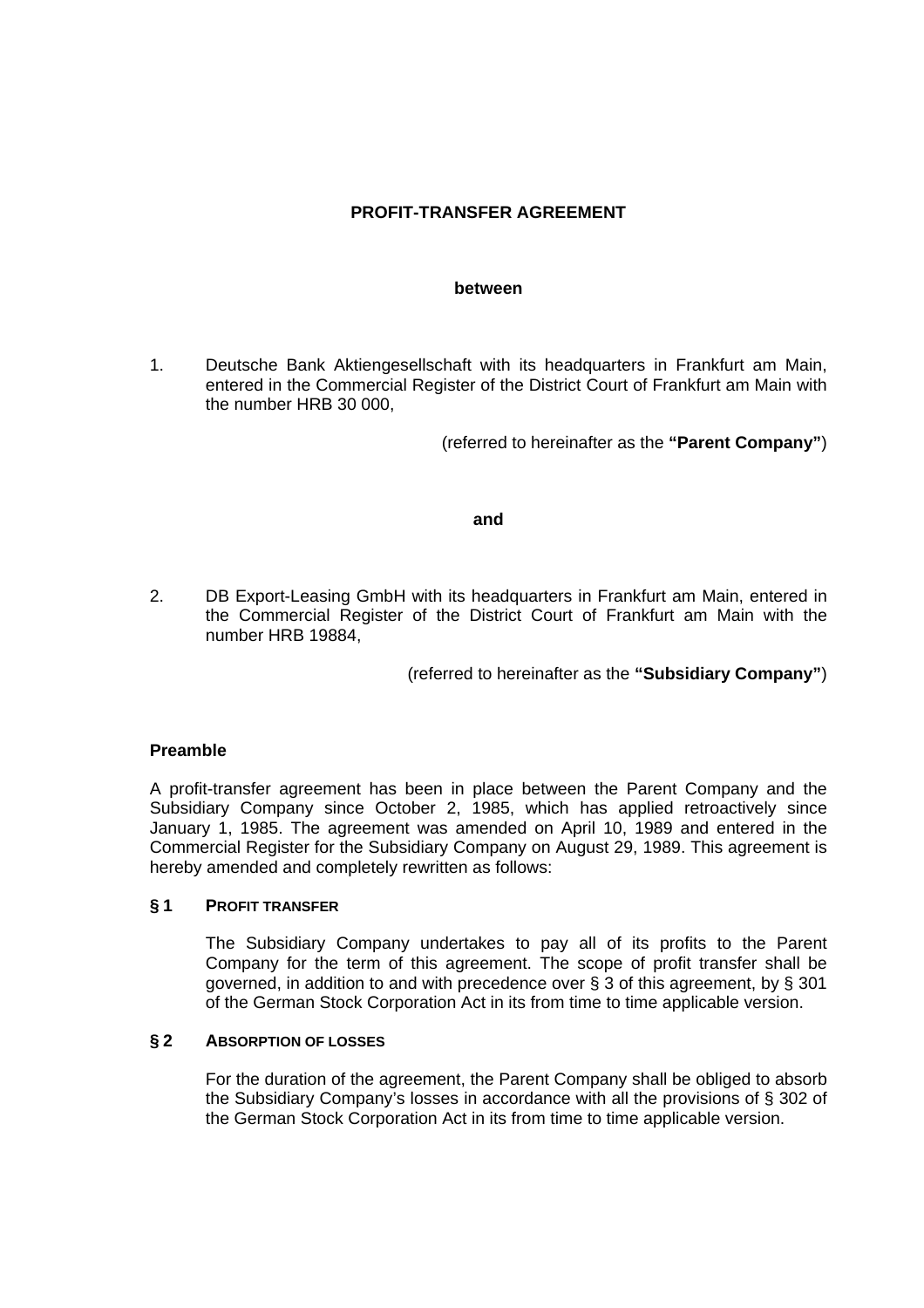# **PROFIT-TRANSFER AGREEMENT**

#### **between**

1. Deutsche Bank Aktiengesellschaft with its headquarters in Frankfurt am Main, entered in the Commercial Register of the District Court of Frankfurt am Main with the number HRB 30 000,

(referred to hereinafter as the **"Parent Company"**)

### **and**

2. DB Export-Leasing GmbH with its headquarters in Frankfurt am Main, entered in the Commercial Register of the District Court of Frankfurt am Main with the number HRB 19884,

(referred to hereinafter as the **"Subsidiary Company"**)

### **Preamble**

A profit-transfer agreement has been in place between the Parent Company and the Subsidiary Company since October 2, 1985, which has applied retroactively since January 1, 1985. The agreement was amended on April 10, 1989 and entered in the Commercial Register for the Subsidiary Company on August 29, 1989. This agreement is hereby amended and completely rewritten as follows:

### **§ 1 PROFIT TRANSFER**

 The Subsidiary Company undertakes to pay all of its profits to the Parent Company for the term of this agreement. The scope of profit transfer shall be governed, in addition to and with precedence over § 3 of this agreement, by § 301 of the German Stock Corporation Act in its from time to time applicable version.

### **§ 2 ABSORPTION OF LOSSES**

 For the duration of the agreement, the Parent Company shall be obliged to absorb the Subsidiary Company's losses in accordance with all the provisions of § 302 of the German Stock Corporation Act in its from time to time applicable version.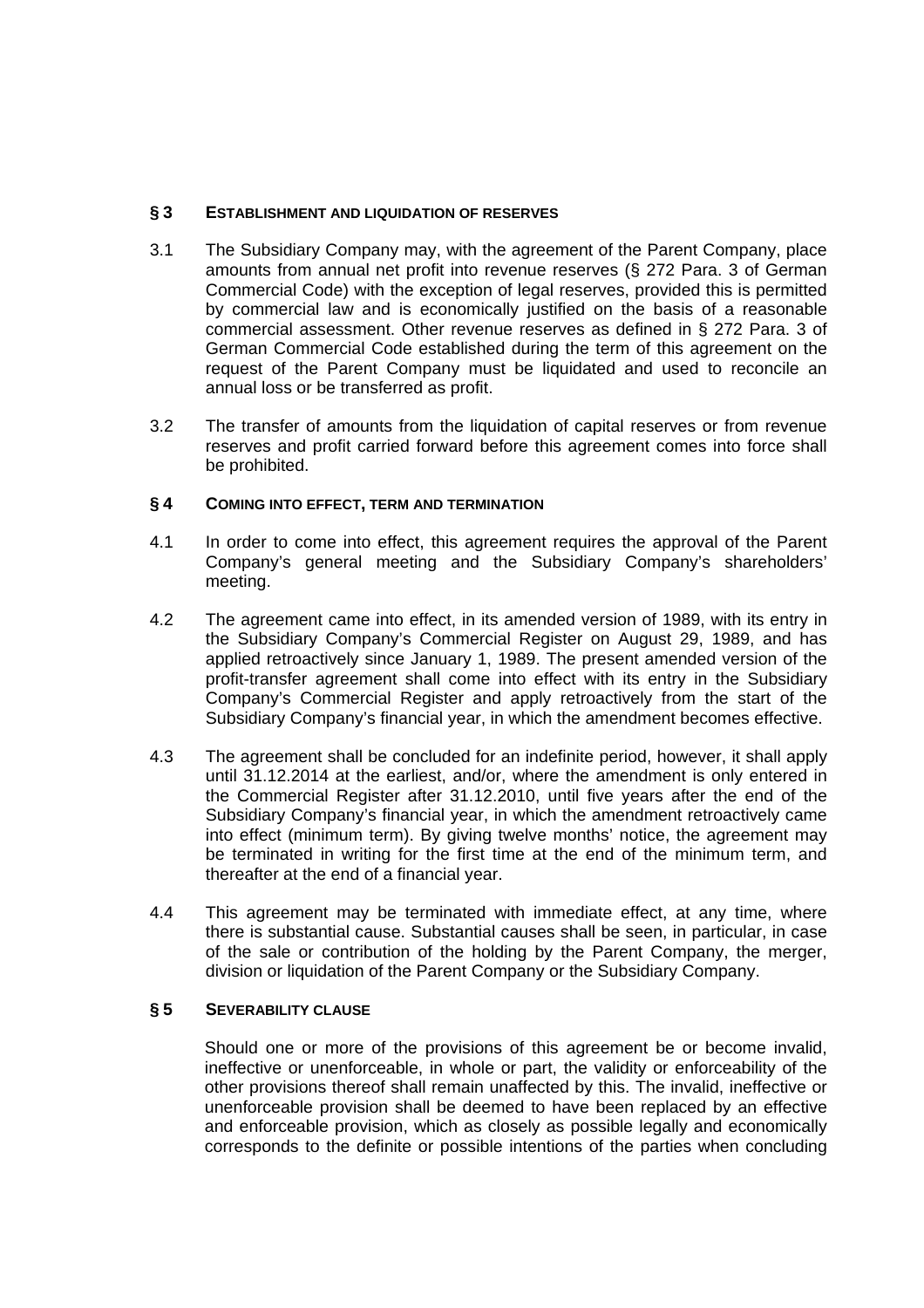## **§ 3 ESTABLISHMENT AND LIQUIDATION OF RESERVES**

- 3.1 The Subsidiary Company may, with the agreement of the Parent Company, place amounts from annual net profit into revenue reserves (§ 272 Para. 3 of German Commercial Code) with the exception of legal reserves, provided this is permitted by commercial law and is economically justified on the basis of a reasonable commercial assessment. Other revenue reserves as defined in § 272 Para. 3 of German Commercial Code established during the term of this agreement on the request of the Parent Company must be liquidated and used to reconcile an annual loss or be transferred as profit.
- 3.2 The transfer of amounts from the liquidation of capital reserves or from revenue reserves and profit carried forward before this agreement comes into force shall be prohibited.

## **§ 4 COMING INTO EFFECT, TERM AND TERMINATION**

- 4.1 In order to come into effect, this agreement requires the approval of the Parent Company's general meeting and the Subsidiary Company's shareholders' meeting.
- 4.2 The agreement came into effect, in its amended version of 1989, with its entry in the Subsidiary Company's Commercial Register on August 29, 1989, and has applied retroactively since January 1, 1989. The present amended version of the profit-transfer agreement shall come into effect with its entry in the Subsidiary Company's Commercial Register and apply retroactively from the start of the Subsidiary Company's financial year, in which the amendment becomes effective.
- 4.3 The agreement shall be concluded for an indefinite period, however, it shall apply until 31.12.2014 at the earliest, and/or, where the amendment is only entered in the Commercial Register after 31.12.2010, until five years after the end of the Subsidiary Company's financial year, in which the amendment retroactively came into effect (minimum term). By giving twelve months' notice, the agreement may be terminated in writing for the first time at the end of the minimum term, and thereafter at the end of a financial year.
- 4.4 This agreement may be terminated with immediate effect, at any time, where there is substantial cause. Substantial causes shall be seen, in particular, in case of the sale or contribution of the holding by the Parent Company, the merger, division or liquidation of the Parent Company or the Subsidiary Company.

## **§ 5 SEVERABILITY CLAUSE**

Should one or more of the provisions of this agreement be or become invalid, ineffective or unenforceable, in whole or part, the validity or enforceability of the other provisions thereof shall remain unaffected by this. The invalid, ineffective or unenforceable provision shall be deemed to have been replaced by an effective and enforceable provision, which as closely as possible legally and economically corresponds to the definite or possible intentions of the parties when concluding